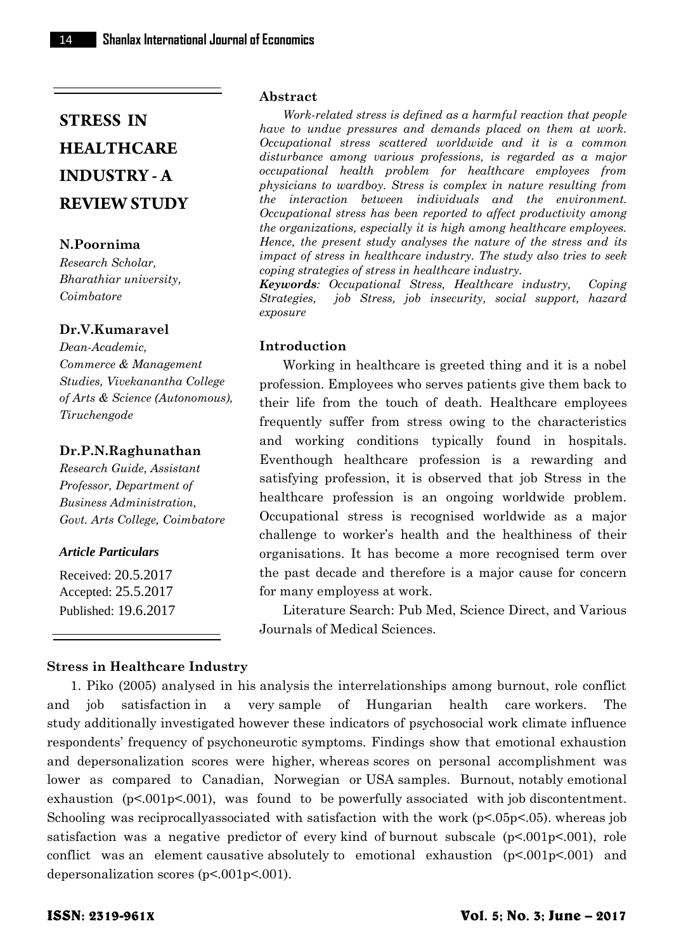## **N.Poornima**

*Research Scholar, Bharathiar university, Coimbatore*

# **Dr.V.Kumaravel**

*Dean-Academic, Commerce & Management Studies, Vivekanantha College of Arts & Science (Autonomous), Tiruchengode*

#### **Dr.P.N.Raghunathan**

*Research Guide, Assistant Professor, Department of Business Administration, Govt. Arts College, Coimbatore*

## *Article Particulars*

Received: 20.5.2017 Accepted: 25.5.2017 Published: 19.6.2017

#### **Abstract**

*Work-related stress is defined as a harmful reaction that people have to undue pressures and demands placed on them at work. Occupational stress scattered worldwide and it is a common disturbance among various professions, is regarded as a major occupational health problem for healthcare employees from physicians to wardboy. Stress is complex in nature resulting from the interaction between individuals and the environment. Occupational stress has been reported to affect productivity among the organizations, especially it is high among healthcare employees. Hence, the present study analyses the nature of the stress and its impact of stress in healthcare industry. The study also tries to seek coping strategies of stress in healthcare industry.*

*Keywords: Occupational Stress, Healthcare industry, Coping Strategies, job Stress, job insecurity, social support, hazard exposure*

## **Introduction**

Working in healthcare is greeted thing and it is a nobel profession. Employees who serves patients give them back to their life from the touch of death. Healthcare employees frequently suffer from stress owing to the characteristics and working conditions typically found in hospitals. Eventhough healthcare profession is a rewarding and satisfying profession, it is observed that job Stress in the healthcare profession is an ongoing worldwide problem. Occupational stress is recognised worldwide as a major challenge to worker's health and the healthiness of their organisations. It has become a more recognised term over the past decade and therefore is a major cause for concern for many employess at work.

Literature Search: Pub Med, Science Direct, and Various Journals of Medical Sciences.

## **Stress in Healthcare Industry**

1. Piko (2005) analysed in his analysis the interrelationships among burnout, role conflict and job satisfaction in a very sample of Hungarian health care workers. The study additionally investigated however these indicators of psychosocial work climate influence respondents' frequency of psychoneurotic symptoms. Findings show that emotional exhaustion and depersonalization scores were higher, whereas scores on personal accomplishment was lower as compared to Canadian, Norwegian or USA samples. Burnout, notably emotional exhaustion  $(p<.001p<.001)$ , was found to be powerfully associated with job discontentment. Schooling was reciprocally associated with satisfaction with the work  $(p<0.5p<0.5)$ . whereas job satisfaction was a negative predictor of every kind of burnout subscale  $(p<.001p<.001)$ , role conflict was an element causative absolutely to emotional exhaustion  $(p<.001p<.001)$  and depersonalization scores (p<.001p<.001).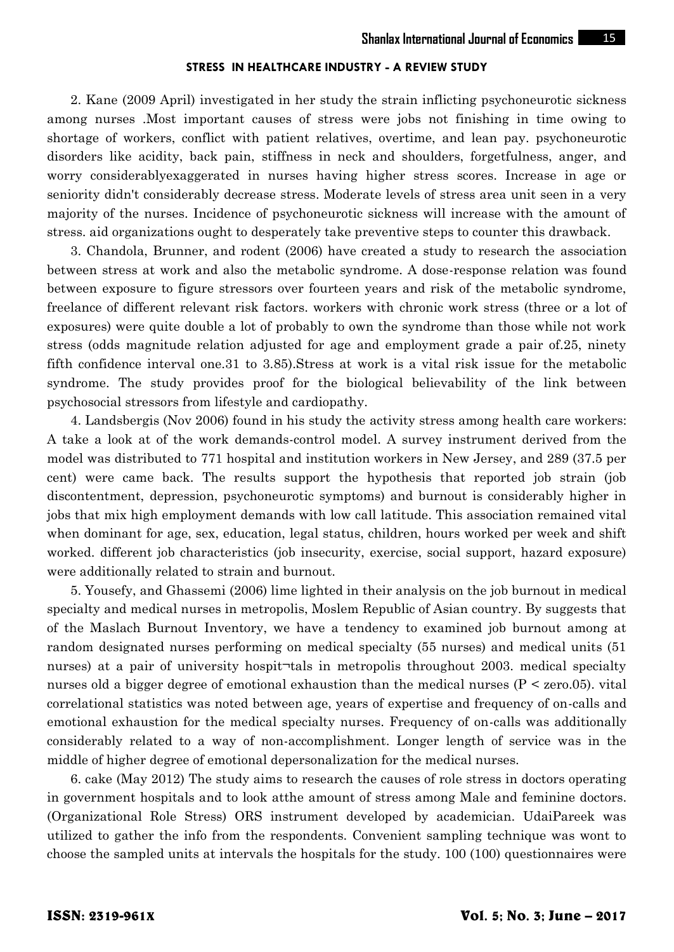2. Kane (2009 April) investigated in her study the strain inflicting psychoneurotic sickness among nurses .Most important causes of stress were jobs not finishing in time owing to shortage of workers, conflict with patient relatives, overtime, and lean pay. psychoneurotic disorders like acidity, back pain, stiffness in neck and shoulders, forgetfulness, anger, and worry considerablyexaggerated in nurses having higher stress scores. Increase in age or seniority didn't considerably decrease stress. Moderate levels of stress area unit seen in a very majority of the nurses. Incidence of psychoneurotic sickness will increase with the amount of stress. aid organizations ought to desperately take preventive steps to counter this drawback.

3. Chandola, Brunner, and rodent (2006) have created a study to research the association between stress at work and also the metabolic syndrome. A dose-response relation was found between exposure to figure stressors over fourteen years and risk of the metabolic syndrome, freelance of different relevant risk factors. workers with chronic work stress (three or a lot of exposures) were quite double a lot of probably to own the syndrome than those while not work stress (odds magnitude relation adjusted for age and employment grade a pair of.25, ninety fifth confidence interval one.31 to 3.85).Stress at work is a vital risk issue for the metabolic syndrome. The study provides proof for the biological believability of the link between psychosocial stressors from lifestyle and cardiopathy.

4. Landsbergis (Nov 2006) found in his study the activity stress among health care workers: A take a look at of the work demands-control model. A survey instrument derived from the model was distributed to 771 hospital and institution workers in New Jersey, and 289 (37.5 per cent) were came back. The results support the hypothesis that reported job strain (job discontentment, depression, psychoneurotic symptoms) and burnout is considerably higher in jobs that mix high employment demands with low call latitude. This association remained vital when dominant for age, sex, education, legal status, children, hours worked per week and shift worked. different job characteristics (job insecurity, exercise, social support, hazard exposure) were additionally related to strain and burnout.

5. Yousefy, and Ghassemi (2006) lime lighted in their analysis on the job burnout in medical specialty and medical nurses in metropolis, Moslem Republic of Asian country. By suggests that of the Maslach Burnout Inventory, we have a tendency to examined job burnout among at random designated nurses performing on medical specialty (55 nurses) and medical units (51 nurses) at a pair of university hospit-tals in metropolis throughout 2003. medical specialty nurses old a bigger degree of emotional exhaustion than the medical nurses  $(P \leq zero.05)$ . vital correlational statistics was noted between age, years of expertise and frequency of on-calls and emotional exhaustion for the medical specialty nurses. Frequency of on-calls was additionally considerably related to a way of non-accomplishment. Longer length of service was in the middle of higher degree of emotional depersonalization for the medical nurses.

6. cake (May 2012) The study aims to research the causes of role stress in doctors operating in government hospitals and to look atthe amount of stress among Male and feminine doctors. (Organizational Role Stress) ORS instrument developed by academician. UdaiPareek was utilized to gather the info from the respondents. Convenient sampling technique was wont to choose the sampled units at intervals the hospitals for the study. 100 (100) questionnaires were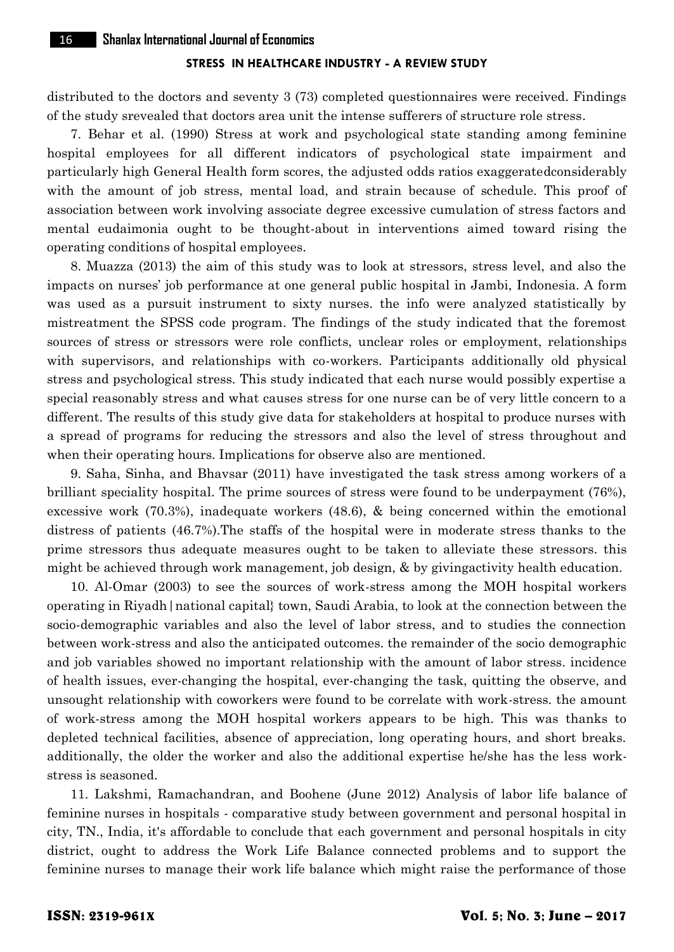distributed to the doctors and seventy 3 (73) completed questionnaires were received. Findings of the study srevealed that doctors area unit the intense sufferers of structure role stress.

7. Behar et al. (1990) Stress at work and psychological state standing among feminine hospital employees for all different indicators of psychological state impairment and particularly high General Health form scores, the adjusted odds ratios exaggeratedconsiderably with the amount of job stress, mental load, and strain because of schedule. This proof of association between work involving associate degree excessive cumulation of stress factors and mental eudaimonia ought to be thought-about in interventions aimed toward rising the operating conditions of hospital employees.

8. Muazza (2013) the aim of this study was to look at stressors, stress level, and also the impacts on nurses' job performance at one general public hospital in Jambi, Indonesia. A form was used as a pursuit instrument to sixty nurses. the info were analyzed statistically by mistreatment the SPSS code program. The findings of the study indicated that the foremost sources of stress or stressors were role conflicts, unclear roles or employment, relationships with supervisors, and relationships with co-workers. Participants additionally old physical stress and psychological stress. This study indicated that each nurse would possibly expertise a special reasonably stress and what causes stress for one nurse can be of very little concern to a different. The results of this study give data for stakeholders at hospital to produce nurses with a spread of programs for reducing the stressors and also the level of stress throughout and when their operating hours. Implications for observe also are mentioned.

9. Saha, Sinha, and Bhavsar (2011) have investigated the task stress among workers of a brilliant speciality hospital. The prime sources of stress were found to be underpayment (76%), excessive work (70.3%), inadequate workers (48.6), & being concerned within the emotional distress of patients (46.7%).The staffs of the hospital were in moderate stress thanks to the prime stressors thus adequate measures ought to be taken to alleviate these stressors. this might be achieved through work management, job design, & by givingactivity health education.

10. Al-Omar (2003) to see the sources of work-stress among the MOH hospital workers operating in Riyadh|national capital} town, Saudi Arabia, to look at the connection between the socio-demographic variables and also the level of labor stress, and to studies the connection between work-stress and also the anticipated outcomes. the remainder of the socio demographic and job variables showed no important relationship with the amount of labor stress. incidence of health issues, ever-changing the hospital, ever-changing the task, quitting the observe, and unsought relationship with coworkers were found to be correlate with work-stress. the amount of work-stress among the MOH hospital workers appears to be high. This was thanks to depleted technical facilities, absence of appreciation, long operating hours, and short breaks. additionally, the older the worker and also the additional expertise he/she has the less work stress is seasoned.

11. Lakshmi, Ramachandran, and Boohene (June 2012) Analysis of labor life balance of feminine nurses in hospitals - comparative study between government and personal hospital in city, TN., India, it's affordable to conclude that each government and personal hospitals in city district, ought to address the Work Life Balance connected problems and to support the feminine nurses to manage their work life balance which might raise the performance of those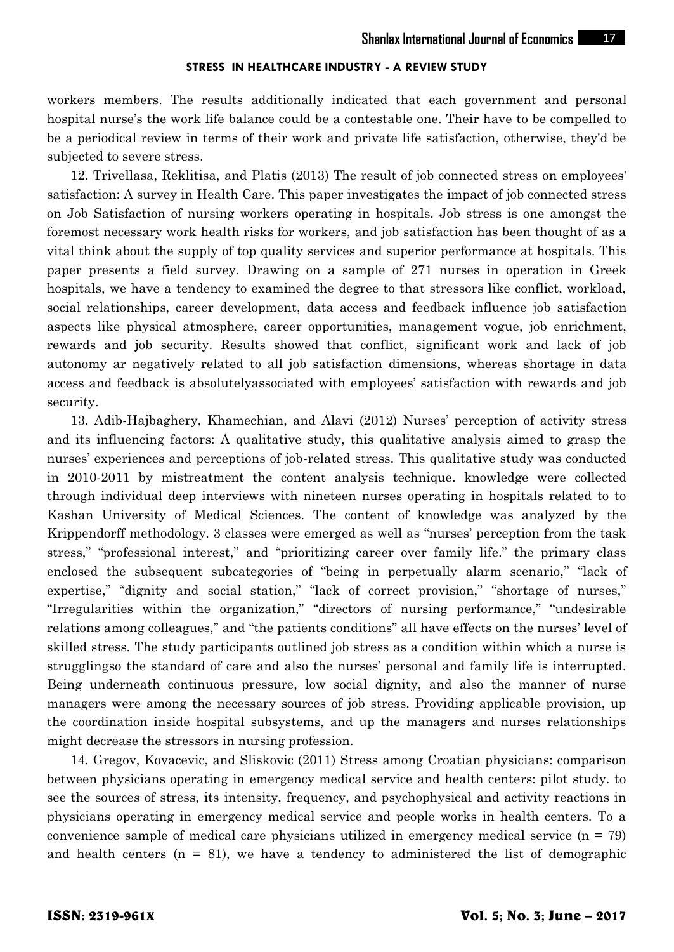workers members. The results additionally indicated that each government and personal hospital nurse's the work life balance could be a contestable one. Their have to be compelled to be a periodical review in terms of their work and private life satisfaction, otherwise, they'd be subjected to severe stress.

12. Trivellasa, Reklitisa, and Platis (2013) The result of job connected stress on employees' satisfaction: A survey in Health Care. This paper investigates the impact of job connected stress on Job Satisfaction of nursing workers operating in hospitals. Job stress is one amongst the foremost necessary work health risks for workers, and job satisfaction has been thought of as a vital think about the supply of top quality services and superior performance at hospitals. This paper presents a field survey. Drawing on a sample of 271 nurses in operation in Greek hospitals, we have a tendency to examined the degree to that stressors like conflict, workload, social relationships, career development, data access and feedback influence job satisfaction aspects like physical atmosphere, career opportunities, management vogue, job enrichment, rewards and job security. Results showed that conflict, significant work and lack of job autonomy ar negatively related to all job satisfaction dimensions, whereas shortage in data access and feedback is absolutelyassociated with employees' satisfaction with rewards and job security.

13. Adib-Hajbaghery, Khamechian, and Alavi (2012) Nurses' perception of activity stress and its influencing factors: A qualitative study, this qualitative analysis aimed to grasp the nurses' experiences and perceptions of job-related stress. This qualitative study was conducted in 2010-2011 by mistreatment the content analysis technique. knowledge were collected through individual deep interviews with nineteen nurses operating in hospitals related to to Kashan University of Medical Sciences. The content of knowledge was analyzed by the Krippendorff methodology. 3 classes were emerged as well as "nurses' perception from the task stress," "professional interest," and "prioritizing career over family life." the primary class enclosed the subsequent subcategories of "being in perpetually alarm scenario," "lack of expertise," "dignity and social station," "lack of correct provision," "shortage of nurses," "Irregularities within the organization," "directors of nursing performance," "undesirable relations among colleagues," and "the patients conditions" all have effects on the nurses' level of skilled stress. The study participants outlined job stress as a condition within which a nurse is strugglingso the standard of care and also the nurses' personal and family life is interrupted. Being underneath continuous pressure, low social dignity, and also the manner of nurse managers were among the necessary sources of job stress. Providing applicable provision, up the coordination inside hospital subsystems, and up the managers and nurses relationships might decrease the stressors in nursing profession.

14. Gregov, Kovacevic, and Sliskovic (2011) Stress among Croatian physicians: comparison between physicians operating in emergency medical service and health centers: pilot study. to see the sources of stress, its intensity, frequency, and psychophysical and activity reactions in physicians operating in emergency medical service and people works in health centers. To a convenience sample of medical care physicians utilized in emergency medical service  $(n = 79)$ and health centers  $(n = 81)$ , we have a tendency to administered the list of demographic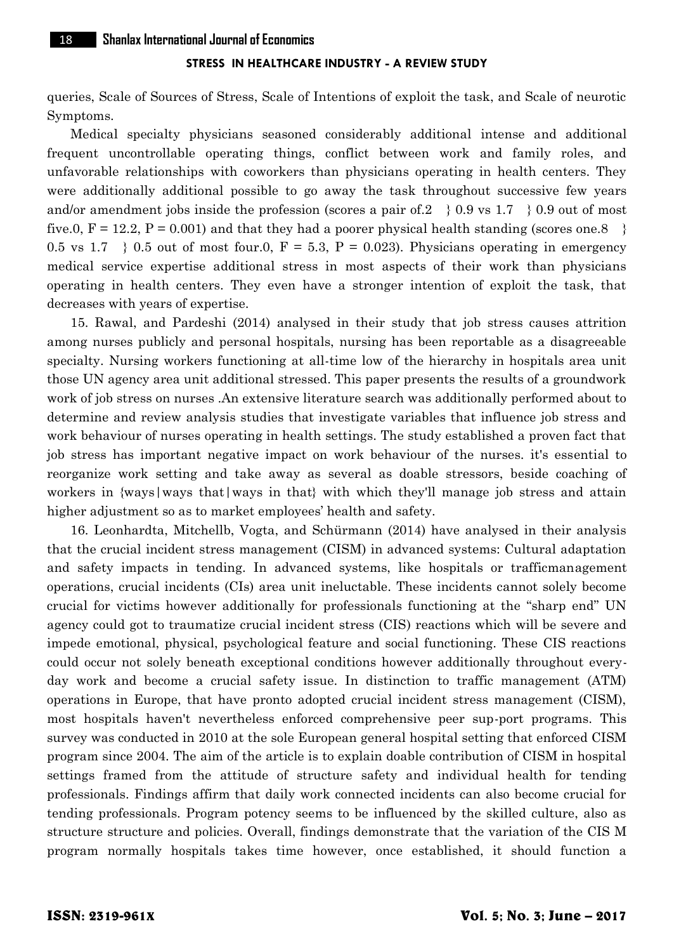queries, Scale of Sources of Stress, Scale of Intentions of exploit the task, and Scale of neurotic Symptoms.

Medical specialty physicians seasoned considerably additional intense and additional frequent uncontrollable operating things, conflict between work and family roles, and unfavorable relationships with coworkers than physicians operating in health centers. They were additionally additional possible to go away the task throughout successive few years and/or amendment jobs inside the profession (scores a pair of 2  $\}$  0.9 vs 1.7  $\}$  0.9 out of most five.0,  $F = 12.2$ ,  $P = 0.001$  and that they had a poorer physical health standing (scores one.8) 0.5 vs 1.7  $\}$  0.5 out of most four.0, F = 5.3, P = 0.023). Physicians operating in emergency medical service expertise additional stress in most aspects of their work than physicians operating in health centers. They even have a stronger intention of exploit the task, that decreases with years of expertise.

15. Rawal, and Pardeshi (2014) analysed in their study that job stress causes attrition among nurses publicly and personal hospitals, nursing has been reportable as a disagreeable specialty. Nursing workers functioning at all-time low of the hierarchy in hospitals area unit those UN agency area unit additional stressed. This paper presents the results of a groundwork work of job stress on nurses .An extensive literature search was additionally performed about to determine and review analysis studies that investigate variables that influence job stress and work behaviour of nurses operating in health settings. The study established a proven fact that job stress has important negative impact on work behaviour of the nurses. it's essential to reorganize work setting and take away as several as doable stressors, beside coaching of workers in  $\{ways|ways\}$  that  $\{ways\}$  in that  $\}$  with which they'll manage job stress and attain higher adjustment so as to market employees' health and safety.

16. Leonhardta, Mitchellb, Vogta, and Schürmann (2014) have analysed in their analysis that the crucial incident stress management (CISM) in advanced systems: Cultural adaptation and safety impacts in tending. In advanced systems, like hospitals or trafficmanagement operations, crucial incidents (CIs) area unit ineluctable. These incidents cannot solely become crucial for victims however additionally for professionals functioning at the "sharp end" UN agency could got to traumatize crucial incident stress (CIS) reactions which will be severe and impede emotional, physical, psychological feature and social functioning. These CIS reactions could occur not solely beneath exceptional conditions however additionally throughout every day work and become a crucial safety issue. In distinction to traffic management (ATM) operations in Europe, that have pronto adopted crucial incident stress management (CISM), most hospitals haven't nevertheless enforced comprehensive peer sup-port programs. This survey was conducted in 2010 at the sole European general hospital setting that enforced CISM program since 2004. The aim of the article is to explain doable contribution of CISM in hospital settings framed from the attitude of structure safety and individual health for tending professionals. Findings affirm that daily work connected incidents can also become crucial for tending professionals. Program potency seems to be influenced by the skilled culture, also as structure structure and policies. Overall, findings demonstrate that the variation of the CIS M program normally hospitals takes time however, once established, it should function a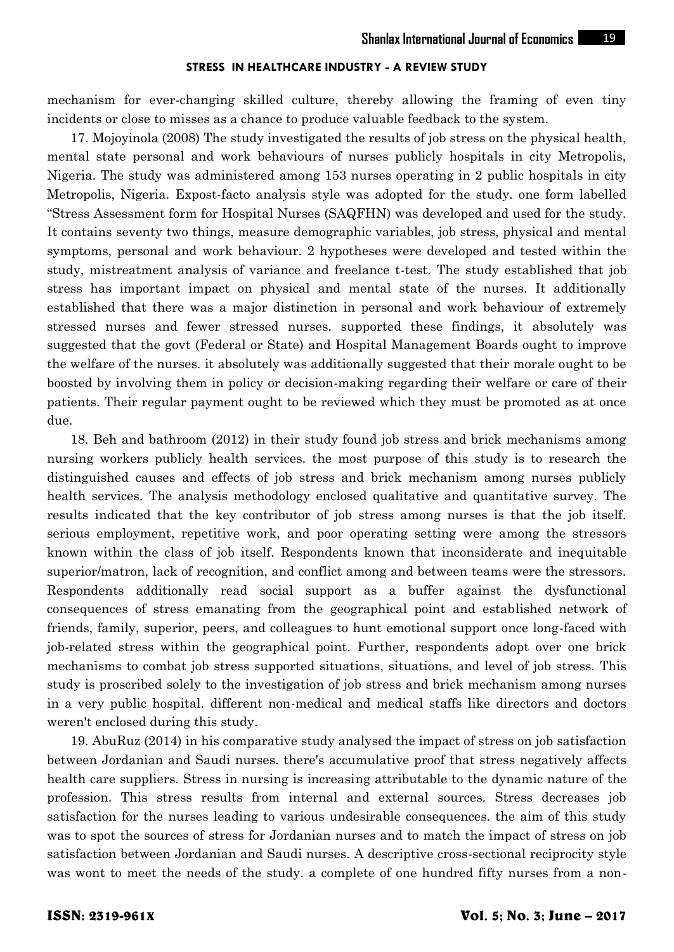mechanism for ever-changing skilled culture, thereby allowing the framing of even tiny incidents or close to misses as a chance to produce valuable feedback to the system.

17. Mojoyinola (2008) The study investigated the results of job stress on the physical health, mental state personal and work behaviours of nurses publicly hospitals in city Metropolis, Nigeria. The study was administered among 153 nurses operating in 2 public hospitals in city Metropolis, Nigeria. Expost-facto analysis style was adopted for the study. one form labelled "Stress Assessment form for Hospital Nurses (SAQFHN) was developed and used for the study. It contains seventy two things, measure demographic variables, job stress, physical and mental symptoms, personal and work behaviour. 2 hypotheses were developed and tested within the study, mistreatment analysis of variance and freelance t-test. The study established that job stress has important impact on physical and mental state of the nurses. It additionally established that there was a major distinction in personal and work behaviour of extremely stressed nurses and fewer stressed nurses. supported these findings, it absolutely was suggested that the govt (Federal or State) and Hospital Management Boards ought to improve the welfare of the nurses. it absolutely was additionally suggested that their morale ought to be boosted by involving them in policy or decision-making regarding their welfare or care of their patients. Their regular payment ought to be reviewed which they must be promoted as at once due.

18. Beh and bathroom (2012) in their study found job stress and brick mechanisms among nursing workers publicly health services. the most purpose of this study is to research the distinguished causes and effects of job stress and brick mechanism among nurses publicly health services. The analysis methodology enclosed qualitative and quantitative survey. The results indicated that the key contributor of job stress among nurses is that the job itself. serious employment, repetitive work, and poor operating setting were among the stressors known within the class of job itself. Respondents known that inconsiderate and inequitable superior/matron, lack of recognition, and conflict among and between teams were the stressors. Respondents additionally read social support as a buffer against the dysfunctional consequences of stress emanating from the geographical point and established network of friends, family, superior, peers, and colleagues to hunt emotional support once long-faced with job-related stress within the geographical point. Further, respondents adopt over one brick mechanisms to combat job stress supported situations, situations, and level of job stress. This study is proscribed solely to the investigation of job stress and brick mechanism among nurses in a very public hospital. different non-medical and medical staffs like directors and doctors weren't enclosed during this study.

19. AbuRuz (2014) in his comparative study analysed the impact of stress on job satisfaction between Jordanian and Saudi nurses. there's accumulative proof that stress negatively affects health care suppliers. Stress in nursing is increasing attributable to the dynamic nature of the profession. This stress results from internal and external sources. Stress decreases job satisfaction for the nurses leading to various undesirable consequences. the aim of this study was to spot the sources of stress for Jordanian nurses and to match the impact of stress on job satisfaction between Jordanian and Saudi nurses. A descriptive cross-sectional reciprocity style was wont to meet the needs of the study. a complete of one hundred fifty nurses from a non-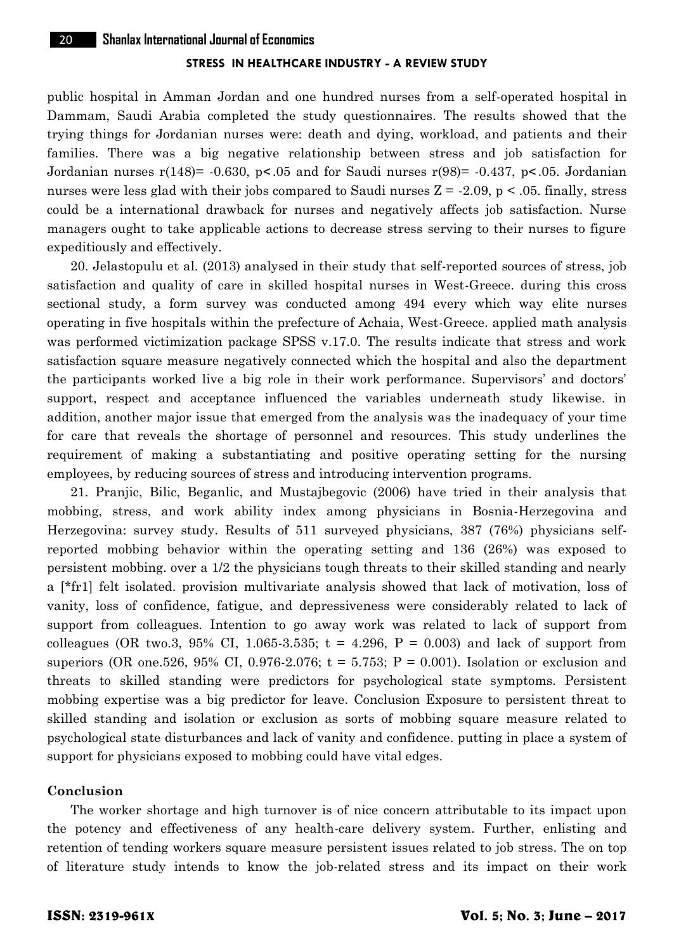public hospital in Amman Jordan and one hundred nurses from a self-operated hospital in Dammam, Saudi Arabia completed the study questionnaires. The results showed that the trying things for Jordanian nurses were: death and dying, workload, and patients and their families. There was a big negative relationship between stress and job satisfaction for Jordanian nurses  $r(148)$ = -0.630, p< 05 and for Saudi nurses  $r(98)$ = -0.437, p< 05. Jordanian nurses were less glad with their jobs compared to Saudi nurses  $Z = -2.09$ ,  $p < .05$ . finally, stress could be a international drawback for nurses and negatively affects job satisfaction. Nurse managers ought to take applicable actions to decrease stress serving to their nurses to figure expeditiously and effectively.

20. Jelastopulu et al. (2013) analysed in their study that self-reported sources of stress, job satisfaction and quality of care in skilled hospital nurses in West-Greece. during this cross sectional study, a form survey was conducted among 494 every which way elite nurses operating in five hospitals within the prefecture of Achaia, West-Greece. applied math analysis was performed victimization package SPSS v.17.0. The results indicate that stress and work satisfaction square measure negatively connected which the hospital and also the department the participants worked live a big role in their work performance. Supervisors' and doctors' support, respect and acceptance influenced the variables underneath study likewise. in addition, another major issue that emerged from the analysis was the inadequacy of your time for care that reveals the shortage of personnel and resources. This study underlines the requirement of making a substantiating and positive operating setting for the nursing employees, by reducing sources of stress and introducing intervention programs.

21. Pranjic, Bilic, Beganlic, and Mustajbegovic (2006) have tried in their analysis that mobbing, stress, and work ability index among physicians in Bosnia-Herzegovina and Herzegovina: survey study. Results of 511 surveyed physicians, 387 (76%) physicians self reported mobbing behavior within the operating setting and 136 (26%) was exposed to persistent mobbing. over a 1/2 the physicians tough threats to their skilled standing and nearly a [\*fr1] felt isolated. provision multivariate analysis showed that lack of motivation, loss of vanity, loss of confidence, fatigue, and depressiveness were considerably related to lack of support from colleagues. Intention to go away work was related to lack of support from colleagues (OR two.3, 95% CI, 1.065-3.535;  $t = 4.296$ ,  $P = 0.003$ ) and lack of support from superiors (OR one.526, 95% CI, 0.976-2.076;  $t = 5.753$ ;  $P = 0.001$ ). Isolation or exclusion and threats to skilled standing were predictors for psychological state symptoms. Persistent mobbing expertise was a big predictor for leave. Conclusion Exposure to persistent threat to skilled standing and isolation or exclusion as sorts of mobbing square measure related to psychological state disturbances and lack of vanity and confidence. putting in place a system of support for physicians exposed to mobbing could have vital edges.

## **Conclusion**

The worker shortage and high turnover is of nice concern attributable to its impact upon the potency and effectiveness of any health-care delivery system. Further, enlisting and retention of tending workers square measure persistent issues related to job stress. The on top of literature study intends to know the job-related stress and its impact on their work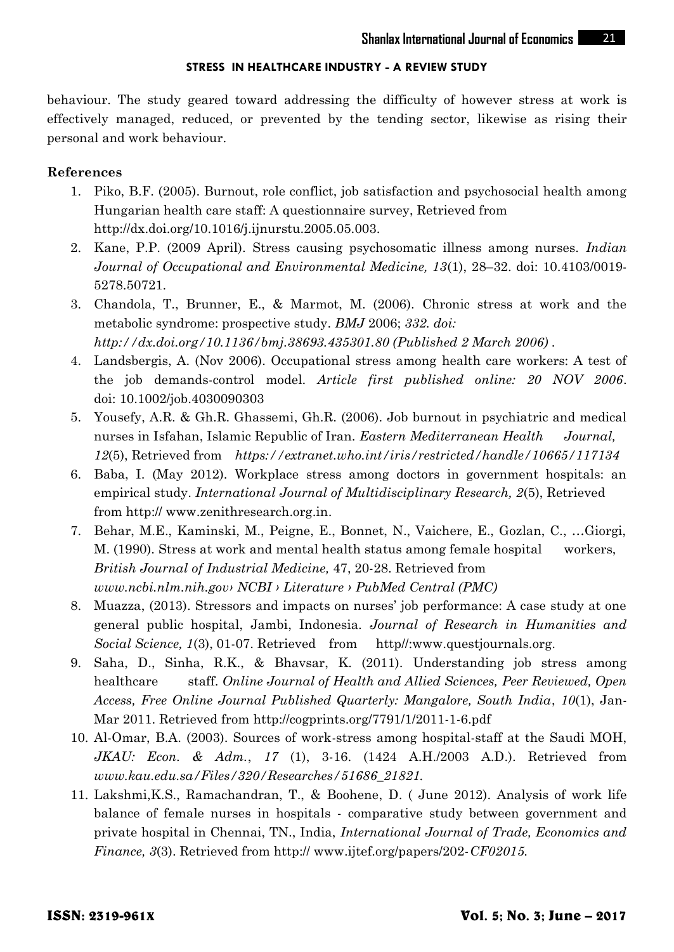behaviour. The study geared toward addressing the difficulty of however stress at work is effectively managed, reduced, or prevented by the tending sector, likewise as rising their personal and work behaviour.

# **References**

- 1. Piko, B.F. (2005). Burnout, role conflict, job satisfaction and psychosocial health among Hungarian health care staff: A questionnaire survey, Retrieved from http://dx.doi.org/10.1016/j.ijnurstu.2005.05.003.
- 2. Kane, P.P. (2009 April). Stress causing psychosomatic illness among nurses. *Indian Journal of Occupational and Environmental Medicine, 13*(1), 28–32. doi: 10.4103/0019- 5278.50721.
- 3. Chandola, T., Brunner, E., & Marmot, M. (2006). Chronic stress at work and the metabolic syndrome: prospective study. *BMJ* 2006; *332. doi: http://dx.doi.org/10.1136/bmj.38693.435301.80 (Published 2 March 2006) .*
- 4. Landsbergis, A. (Nov 2006). Occupational stress among health care workers: A test of the job demands-control model. *Article first published online: 20 NOV 2006*. doi: 10.1002/job.4030090303
- 5. Yousefy, A.R. & Gh.R. Ghassemi, Gh.R. (2006). Job burnout in psychiatric and medical nurses in Isfahan, Islamic Republic of Iran. *Eastern Mediterranean Health Journal, 12*(5), Retrieved from *https://extranet.who.int/iris/restricted/handle/10665/117134*
- 6. Baba, I. (May 2012). Workplace stress among doctors in government hospitals: an empirical study. *International Journal of Multidisciplinary Research, 2*(5), Retrieved from http:// www.zenithresearch.org.in.
- 7. Behar, M.E., Kaminski, M., Peigne, E., Bonnet, N., Vaichere, E., Gozlan, C., …Giorgi, M. (1990). Stress at work and mental health status among female hospital workers, *British Journal of Industrial Medicine,* 47, 20-28. Retrieved from *www.ncbi.nlm.nih.gov› NCBI › Literature › PubMed Central (PMC)*
- 8. Muazza, (2013). Stressors and impacts on nurses' job performance: A case study at one general public hospital, Jambi, Indonesia. *Journal of Research in Humanities and Social Science, 1*(3), 01-07. Retrieved from http//:www.questjournals.org.
- 9. Saha, D., Sinha, R.K., & Bhavsar, K. (2011). Understanding job stress among healthcare staff. *Online Journal of Health and Allied Sciences, Peer Reviewed, Open Access, Free Online Journal Published Quarterly: Mangalore, South India*, *10*(1), Jan- Mar 2011. Retrieved from http://cogprints.org/7791/1/2011-1-6.pdf
- 10. Al-Omar, B.A. (2003). Sources of work-stress among hospital-staff at the Saudi MOH, *JKAU: Econ. & Adm.*, *17* (1), 3-16. (1424 A.H./2003 A.D.). Retrieved from *www.kau.edu.sa/Files/320/Researches/51686\_21821.*
- 11. Lakshmi,K.S., Ramachandran, T., & Boohene, D. ( June 2012). Analysis of work life balance of female nurses in hospitals - comparative study between government and private hospital in Chennai, TN., India, *International Journal of Trade, Economics and Finance, 3*(3). Retrieved from http:// www.ijtef.org/papers/202-*CF02015.*